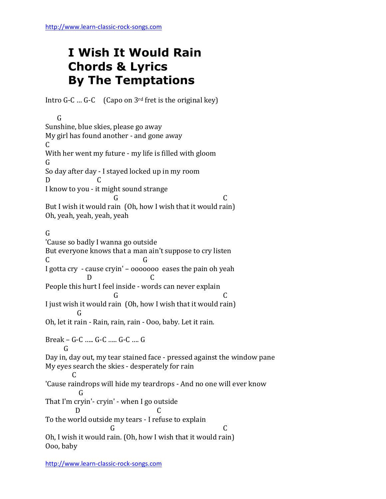## **I Wish It Would Rain Chords & Lyrics By The Temptations**

Intro G-C ... G-C (Capo on  $3<sup>rd</sup>$  fret is the original key)

 G Sunshine, blue skies, please go away My girl has found another - and gone away C With her went my future - my life is filled with gloom G So day after day - I stayed locked up in my room D C I know to you - it might sound strange G C But I wish it would rain (Oh, how I wish that it would rain) Oh, yeah, yeah, yeah, yeah G 'Cause so badly I wanna go outside But everyone knows that a man ain't suppose to cry listen C G I gotta cry - cause cryin' – ooooooo eases the pain oh yeah D C People this hurt I feel inside - words can never explain G C I just wish it would rain (Oh, how I wish that it would rain) **G** Oh, let it rain - Rain, rain, rain - Ooo, baby. Let it rain. Break – G-C ….. G-C ….. G-C …. G G Day in, day out, my tear stained face - pressed against the window pane My eyes search the skies - desperately for rain  $\mathcal{C}$ 'Cause raindrops will hide my teardrops - And no one will ever know G That I'm cryin'- cryin' - when I go outside D C To the world outside my tears - I refuse to explain G C Oh, I wish it would rain. (Oh, how I wish that it would rain) Ooo, baby